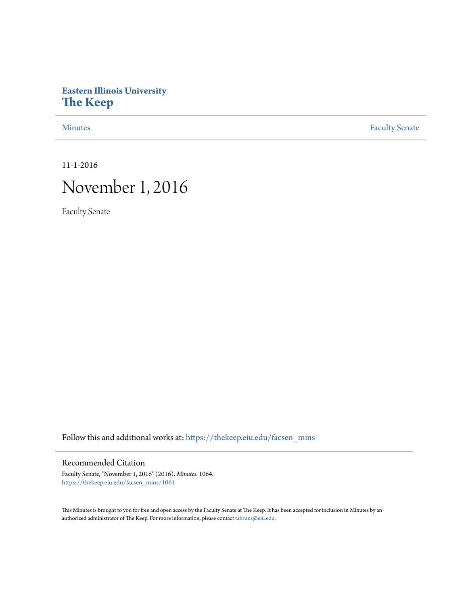## **Eastern Illinois University [The Keep](https://thekeep.eiu.edu?utm_source=thekeep.eiu.edu%2Ffacsen_mins%2F1064&utm_medium=PDF&utm_campaign=PDFCoverPages)**

[Minutes](https://thekeep.eiu.edu/facsen_mins?utm_source=thekeep.eiu.edu%2Ffacsen_mins%2F1064&utm_medium=PDF&utm_campaign=PDFCoverPages) **[Faculty Senate](https://thekeep.eiu.edu/fac_senate?utm_source=thekeep.eiu.edu%2Ffacsen_mins%2F1064&utm_medium=PDF&utm_campaign=PDFCoverPages)** 

11-1-2016

## November 1, 2016

Faculty Senate

Follow this and additional works at: [https://thekeep.eiu.edu/facsen\\_mins](https://thekeep.eiu.edu/facsen_mins?utm_source=thekeep.eiu.edu%2Ffacsen_mins%2F1064&utm_medium=PDF&utm_campaign=PDFCoverPages)

## Recommended Citation

Faculty Senate, "November 1, 2016" (2016). *Minutes*. 1064. [https://thekeep.eiu.edu/facsen\\_mins/1064](https://thekeep.eiu.edu/facsen_mins/1064?utm_source=thekeep.eiu.edu%2Ffacsen_mins%2F1064&utm_medium=PDF&utm_campaign=PDFCoverPages)

This Minutes is brought to you for free and open access by the Faculty Senate at The Keep. It has been accepted for inclusion in Minutes by an authorized administrator of The Keep. For more information, please contact [tabruns@eiu.edu](mailto:tabruns@eiu.edu).